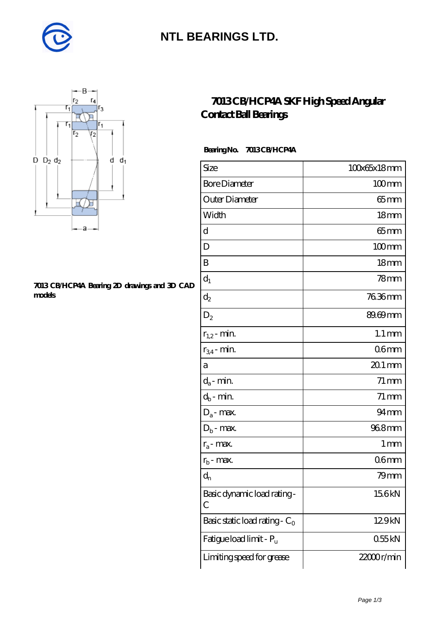

## **[NTL BEARINGS LTD.](https://m.diabetesfriends.net)**



#### **[7013 CB/HCP4A Bearing 2D drawings and 3D CAD](https://m.diabetesfriends.net/pic-590763.html) [models](https://m.diabetesfriends.net/pic-590763.html)**

### **[7013 CB/HCP4A SKF High Speed Angular](https://m.diabetesfriends.net/skf-bearing/7013-cb-hcp4a.html) [Contact Ball Bearings](https://m.diabetesfriends.net/skf-bearing/7013-cb-hcp4a.html)**

### **Bearing No. 7013 CB/HCP4A**

| Size                             | 100x65x18mm         |
|----------------------------------|---------------------|
| <b>Bore Diameter</b>             | $100$ mm            |
| Outer Diameter                   | $65$ mm             |
| Width                            | 18 <sub>mm</sub>    |
| d                                | $65$ mm             |
| $\mathbf D$                      | $100$ mm            |
| Β                                | 18 <sub>mm</sub>    |
| $d_1$                            | 78mm                |
| $d_2$                            | 76.36mm             |
| $D_2$                            | 89.69mm             |
| $r_{1,2}$ - min.                 | $1.1 \,\mathrm{mm}$ |
| $r_{34}$ - min.                  | 06 <sub>mm</sub>    |
| а                                | $201$ mm            |
| $d_a$ - min.                     | $71 \,\mathrm{mm}$  |
| $d_b$ - min.                     | $71 \,\mathrm{mm}$  |
| $D_a$ - max.                     | $94 \text{mm}$      |
| $D_b$ - max.                     | 968mm               |
| $r_a$ - max.                     | $1 \,\mathrm{mm}$   |
| $r_{b}$ - max.                   | 06 <sub>mm</sub>    |
| $d_{n}$                          | 79mm                |
| Basic dynamic load rating-<br>С  | 156kN               |
| Basic static load rating - $C_0$ | 129kN               |
| Fatigue load limit - Pu          | 055kN               |
| Limiting speed for grease        | 22000r/min          |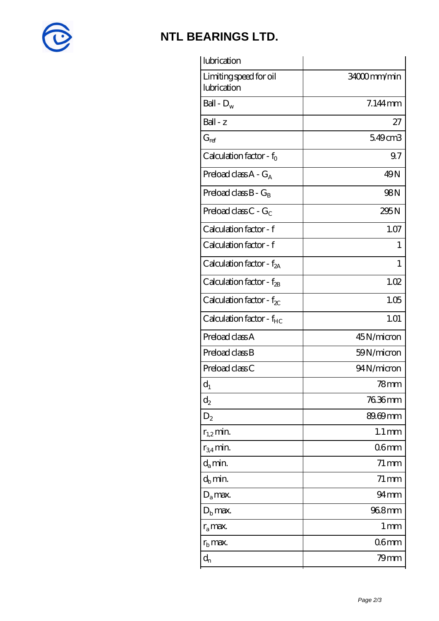

## **[NTL BEARINGS LTD.](https://m.diabetesfriends.net)**

| lubrication                           |                     |
|---------------------------------------|---------------------|
| Limiting speed for oil<br>lubrication | 34000mm/min         |
| Ball - $D_w$                          | $7.144$ mm          |
| Ball - z                              | 27                  |
| $G_{ref}$                             | 549cm3              |
| Calculation factor - $f_0$            | 9.7                 |
| Preload class $A - G_A$               | 49N                 |
| Preload class $B - G_B$               | 98N                 |
| Preload class $C - G_C$               | 295N                |
| Calculation factor - f                | 1.07                |
| Calculation factor - f                | 1                   |
| Calculation factor - $f_{2A}$         | 1                   |
| Calculation factor - $f_{\text{2B}}$  | 1.02                |
| Calculation factor - $f_{\chi}$       | 1.05                |
| Calculation factor - $f_{HC}$         | 1.01                |
| Preload class A                       | 45N/micron          |
| Preload class B                       | 59N/micron          |
| Preload class C                       | 94N/micron          |
| $d_1$                                 | 78mm                |
| $\mathrm{d}_2$                        | 76.36mm             |
| $D_2$                                 | 89.69mm             |
| $r_{1,2}$ min.                        | $1.1 \,\mathrm{mm}$ |
| $r_{34}$ min.                         | 06 <sub>mm</sub>    |
| $d_a$ min.                            | $71 \,\mathrm{mm}$  |
| $d_b$ min.                            | $71 \,\mathrm{mm}$  |
| $D_a$ max.                            | $94 \text{mm}$      |
| $D_{b}$ max.                          | 968mm               |
| $r_a$ max.                            | 1 <sub>mm</sub>     |
| $r_{\rm b}$ max.                      | 06mm                |
| $d_{n}$                               | 79mm                |